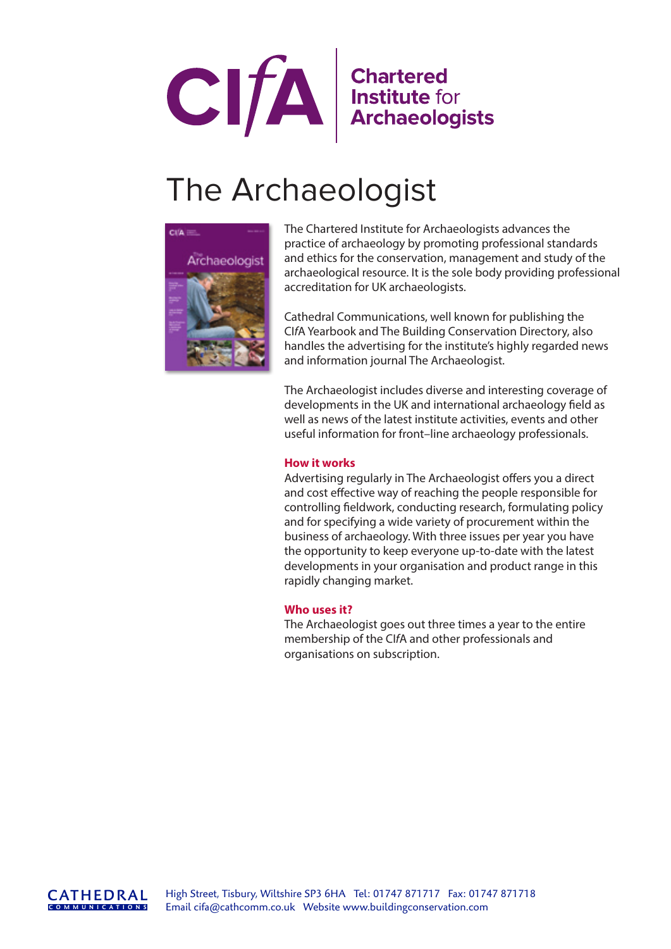

# The Archaeologist



The Chartered Institute for Archaeologists advances the practice of archaeology by promoting professional standards and ethics for the conservation, management and study of the archaeological resource. It is the sole body providing professional accreditation for UK archaeologists.

Cathedral Communications, well known for publishing the CI*f*A Yearbook and The Building Conservation Directory, also handles the advertising for the institute's highly regarded news and information journal The Archaeologist.

The Archaeologist includes diverse and interesting coverage of developments in the UK and international archaeology field as well as news of the latest institute activities, events and other useful information for front–line archaeology professionals.

## **How it works**

Advertising regularly in The Archaeologist offers you a direct and cost effective way of reaching the people responsible for controlling fieldwork, conducting research, formulating policy and for specifying a wide variety of procurement within the business of archaeology. With three issues per year you have the opportunity to keep everyone up-to-date with the latest developments in your organisation and product range in this rapidly changing market.

## **Who uses it?**

The Archaeologist goes out three times a year to the entire membership of the CI*f*A and other professionals and organisations on subscription.